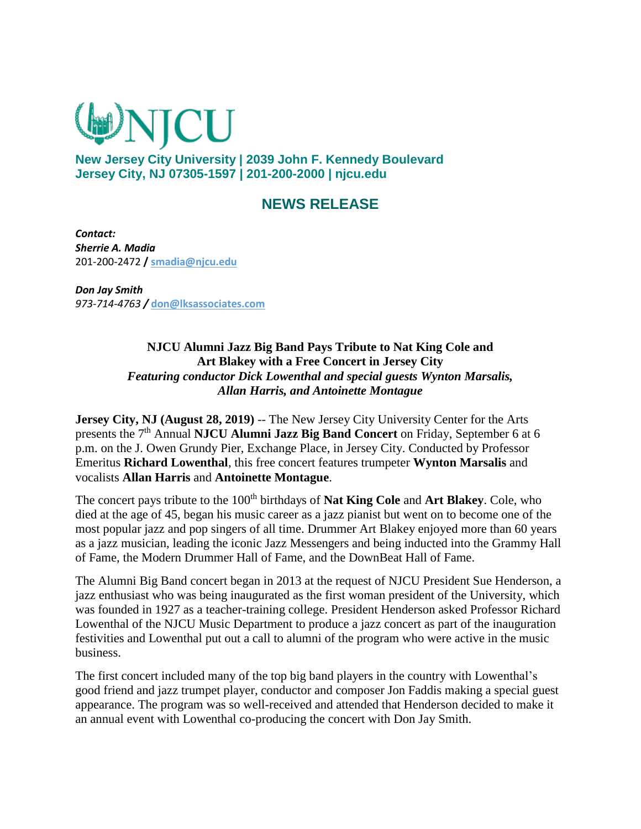

**New Jersey City University | 2039 John F. Kennedy Boulevard Jersey City, NJ 07305-1597 | 201-200-2000 | njcu.edu** 

## **NEWS RELEASE**

*Contact: Sherrie A. Madia* 201-200-2472 **/ [smadia@njcu.edu](mailto:smadia@njcu.edu)**

*Don Jay Smith 973-714-4763 /* **[don@lksassociates.com](mailto:don@lksassociates.com)**

> **NJCU Alumni Jazz Big Band Pays Tribute to Nat King Cole and Art Blakey with a Free Concert in Jersey City** *Featuring conductor Dick Lowenthal and special guests Wynton Marsalis, Allan Harris, and Antoinette Montague*

**Jersey City, NJ (August 28, 2019)** -- The New Jersey City University Center for the Arts presents the 7th Annual **NJCU Alumni Jazz Big Band Concert** on Friday, September 6 at 6 p.m. on the J. Owen Grundy Pier, Exchange Place, in Jersey City. Conducted by Professor Emeritus **Richard Lowenthal**, this free concert features trumpeter **Wynton Marsalis** and vocalists **Allan Harris** and **Antoinette Montague**.

The concert pays tribute to the 100<sup>th</sup> birthdays of **Nat King Cole** and **Art Blakey**. Cole, who died at the age of 45, began his music career as a jazz pianist but went on to become one of the most popular jazz and pop singers of all time. Drummer Art Blakey enjoyed more than 60 years as a jazz musician, leading the iconic Jazz Messengers and being inducted into the Grammy Hall of Fame, the Modern Drummer Hall of Fame, and the DownBeat Hall of Fame.

The Alumni Big Band concert began in 2013 at the request of NJCU President Sue Henderson, a jazz enthusiast who was being inaugurated as the first woman president of the University, which was founded in 1927 as a teacher-training college. President Henderson asked Professor Richard Lowenthal of the NJCU Music Department to produce a jazz concert as part of the inauguration festivities and Lowenthal put out a call to alumni of the program who were active in the music business.

The first concert included many of the top big band players in the country with Lowenthal's good friend and jazz trumpet player, conductor and composer Jon Faddis making a special guest appearance. The program was so well-received and attended that Henderson decided to make it an annual event with Lowenthal co-producing the concert with Don Jay Smith.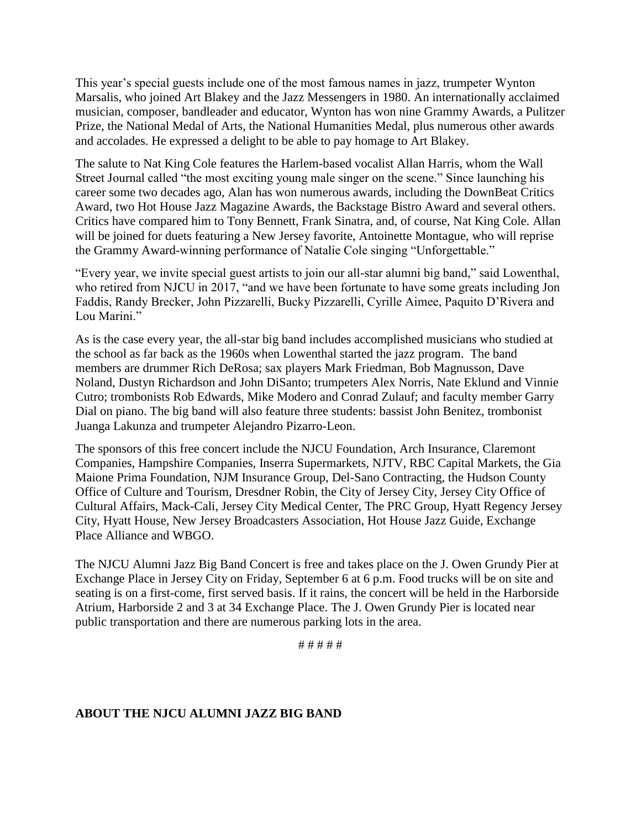This year's special guests include one of the most famous names in jazz, trumpeter Wynton Marsalis, who joined Art Blakey and the Jazz Messengers in 1980. An internationally acclaimed musician, composer, bandleader and educator, Wynton has won nine Grammy Awards, a Pulitzer Prize, the National Medal of Arts, the National Humanities Medal, plus numerous other awards and accolades. He expressed a delight to be able to pay homage to Art Blakey.

The salute to Nat King Cole features the Harlem-based vocalist Allan Harris, whom the Wall Street Journal called "the most exciting young male singer on the scene." Since launching his career some two decades ago, Alan has won numerous awards, including the DownBeat Critics Award, two Hot House Jazz Magazine Awards, the Backstage Bistro Award and several others. Critics have compared him to Tony Bennett, Frank Sinatra, and, of course, Nat King Cole. Allan will be joined for duets featuring a New Jersey favorite, Antoinette Montague, who will reprise the Grammy Award-winning performance of Natalie Cole singing "Unforgettable."

"Every year, we invite special guest artists to join our all-star alumni big band," said Lowenthal, who retired from NJCU in 2017, "and we have been fortunate to have some greats including Jon Faddis, Randy Brecker, John Pizzarelli, Bucky Pizzarelli, Cyrille Aimee, Paquito D'Rivera and Lou Marini."

As is the case every year, the all-star big band includes accomplished musicians who studied at the school as far back as the 1960s when Lowenthal started the jazz program. The band members are drummer Rich DeRosa; sax players Mark Friedman, Bob Magnusson, Dave Noland, Dustyn Richardson and John DiSanto; trumpeters Alex Norris, Nate Eklund and Vinnie Cutro; trombonists Rob Edwards, Mike Modero and Conrad Zulauf; and faculty member Garry Dial on piano. The big band will also feature three students: bassist John Benitez, trombonist Juanga Lakunza and trumpeter Alejandro Pizarro-Leon.

The sponsors of this free concert include the NJCU Foundation, Arch Insurance, Claremont Companies, Hampshire Companies, Inserra Supermarkets, NJTV, RBC Capital Markets, the Gia Maione Prima Foundation, NJM Insurance Group, Del-Sano Contracting, the Hudson County Office of Culture and Tourism, Dresdner Robin, the City of Jersey City, Jersey City Office of Cultural Affairs, Mack-Cali, Jersey City Medical Center, The PRC Group, Hyatt Regency Jersey City, Hyatt House, New Jersey Broadcasters Association, Hot House Jazz Guide, Exchange Place Alliance and WBGO.

The NJCU Alumni Jazz Big Band Concert is free and takes place on the J. Owen Grundy Pier at Exchange Place in Jersey City on Friday, September 6 at 6 p.m. Food trucks will be on site and seating is on a first-come, first served basis. If it rains, the concert will be held in the Harborside Atrium, Harborside 2 and 3 at 34 Exchange Place. The J. Owen Grundy Pier is located near public transportation and there are numerous parking lots in the area.

# # # # #

## **ABOUT THE NJCU ALUMNI JAZZ BIG BAND**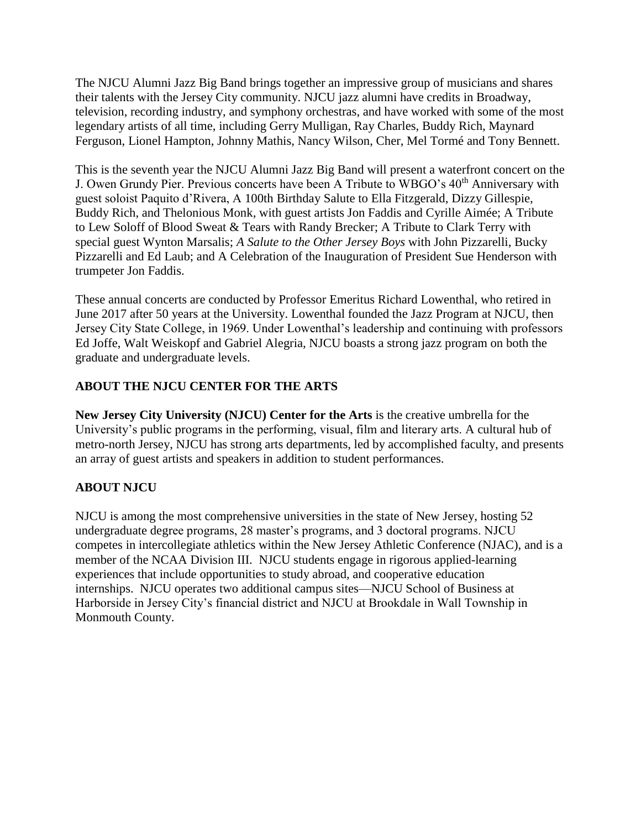The NJCU Alumni Jazz Big Band brings together an impressive group of musicians and shares their talents with the Jersey City community. NJCU jazz alumni have credits in Broadway, television, recording industry, and symphony orchestras, and have worked with some of the most legendary artists of all time, including Gerry Mulligan, Ray Charles, Buddy Rich, Maynard Ferguson, Lionel Hampton, Johnny Mathis, Nancy Wilson, Cher, Mel Tormé and Tony Bennett.

This is the seventh year the NJCU Alumni Jazz Big Band will present a waterfront concert on the J. Owen Grundy Pier. Previous concerts have been A Tribute to WBGO's  $40<sup>th</sup>$  Anniversary with guest soloist Paquito d'Rivera, A 100th Birthday Salute to Ella Fitzgerald, Dizzy Gillespie, Buddy Rich, and Thelonious Monk*,* with guest artists Jon Faddis and Cyrille Aimée; A Tribute to Lew Soloff of Blood Sweat & Tears with Randy Brecker; A Tribute to Clark Terry with special guest Wynton Marsalis; *A Salute to the Other Jersey Boys* with John Pizzarelli, Bucky Pizzarelli and Ed Laub; and A Celebration of the Inauguration of President Sue Henderson with trumpeter Jon Faddis.

These annual concerts are conducted by Professor Emeritus Richard Lowenthal, who retired in June 2017 after 50 years at the University. Lowenthal founded the Jazz Program at NJCU, then Jersey City State College, in 1969. Under Lowenthal's leadership and continuing with professors Ed Joffe, Walt Weiskopf and Gabriel Alegria, NJCU boasts a strong jazz program on both the graduate and undergraduate levels.

## **ABOUT THE NJCU CENTER FOR THE ARTS**

**New Jersey City University (NJCU) Center for the Arts** is the creative umbrella for the University's public programs in the performing, visual, film and literary arts. A cultural hub of metro-north Jersey, NJCU has strong arts departments, led by accomplished faculty, and presents an array of guest artists and speakers in addition to student performances.

## **ABOUT NJCU**

NJCU is among the most comprehensive universities in the state of New Jersey, hosting 52 undergraduate degree programs, 28 master's programs, and 3 doctoral programs. NJCU competes in intercollegiate athletics within the New Jersey Athletic Conference (NJAC), and is a member of the NCAA Division III. NJCU students engage in rigorous applied-learning experiences that include opportunities to study abroad, and cooperative education internships. NJCU operates two additional campus sites—NJCU School of Business at Harborside in Jersey City's financial district and NJCU at Brookdale in Wall Township in Monmouth County.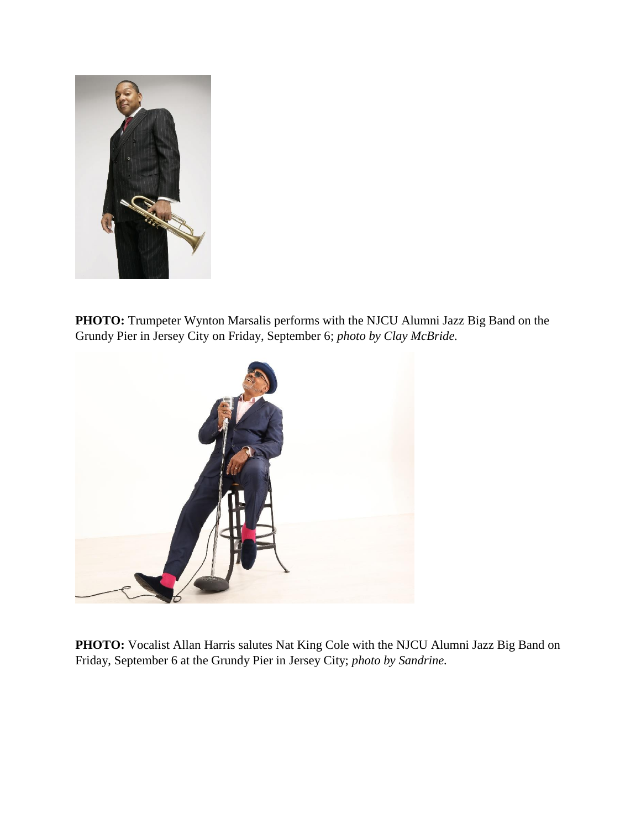

PHOTO: Trumpeter Wynton Marsalis performs with the NJCU Alumni Jazz Big Band on the Grundy Pier in Jersey City on Friday, September 6; *photo by Clay McBride.* 



**PHOTO:** Vocalist Allan Harris salutes Nat King Cole with the NJCU Alumni Jazz Big Band on Friday, September 6 at the Grundy Pier in Jersey City; *photo by Sandrine.*